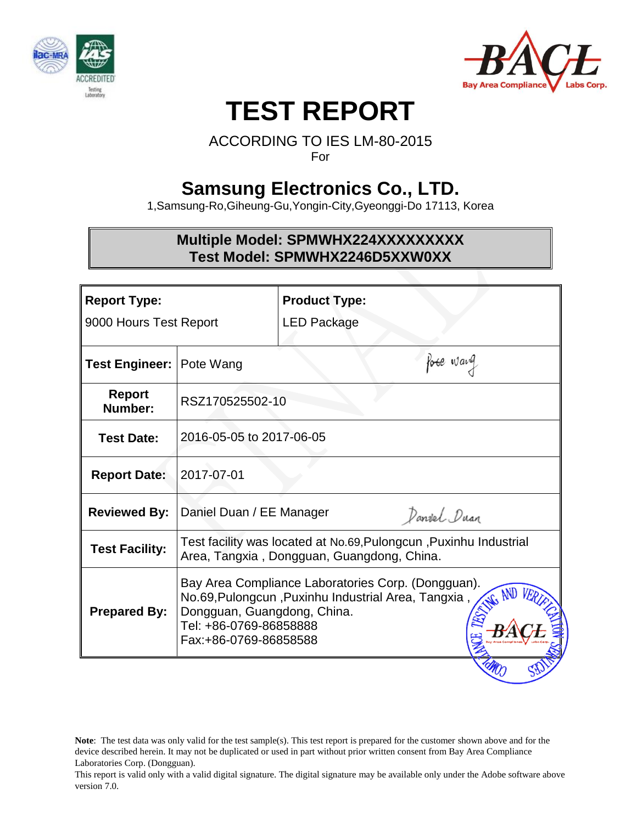



# **TEST REPORT**

### ACCORDING TO IES LM-80-2015 For

# **Samsung Electronics Co., LTD.**

1,Samsung-Ro,Giheung-Gu,Yongin-City,Gyeonggi-Do 17113, Korea

# **Multiple Model: SPMWHX224XXXXXXXXX Test Model: SPMWHX2246D5XXW0XX**

| <b>Report Type:</b><br>9000 Hours Test Report |             |                                                                                                                                                                                   |                                                                                                                                                                                                                              |  |  |  |
|-----------------------------------------------|-------------|-----------------------------------------------------------------------------------------------------------------------------------------------------------------------------------|------------------------------------------------------------------------------------------------------------------------------------------------------------------------------------------------------------------------------|--|--|--|
|                                               | LED Package |                                                                                                                                                                                   |                                                                                                                                                                                                                              |  |  |  |
| <b>Test Engineer: Pote Wang</b>               |             | fore wang                                                                                                                                                                         |                                                                                                                                                                                                                              |  |  |  |
|                                               |             |                                                                                                                                                                                   |                                                                                                                                                                                                                              |  |  |  |
|                                               |             |                                                                                                                                                                                   |                                                                                                                                                                                                                              |  |  |  |
|                                               |             |                                                                                                                                                                                   |                                                                                                                                                                                                                              |  |  |  |
|                                               | Danvel Duan |                                                                                                                                                                                   |                                                                                                                                                                                                                              |  |  |  |
|                                               |             |                                                                                                                                                                                   |                                                                                                                                                                                                                              |  |  |  |
|                                               |             |                                                                                                                                                                                   |                                                                                                                                                                                                                              |  |  |  |
|                                               | 2017-07-01  | <b>Product Type:</b><br>RSZ170525502-10<br>2016-05-05 to 2017-06-05<br>Daniel Duan / EE Manager<br>Dongguan, Guangdong, China.<br>Tel: +86-0769-86858888<br>Fax:+86-0769-86858588 | Test facility was located at No.69, Pulongcun, Puxinhu Industrial<br>Area, Tangxia, Dongguan, Guangdong, China.<br>Bay Area Compliance Laboratories Corp. (Dongguan).<br>No.69, Pulongcun, Puxinhu Industrial Area, Tangxia, |  |  |  |

**Note**: The test data was only valid for the test sample(s). This test report is prepared for the customer shown above and for the device described herein. It may not be duplicated or used in part without prior written consent from Bay Area Compliance Laboratories Corp. (Dongguan).

This report is valid only with a valid digital signature. The digital signature may be available only under the Adobe software above version 7.0.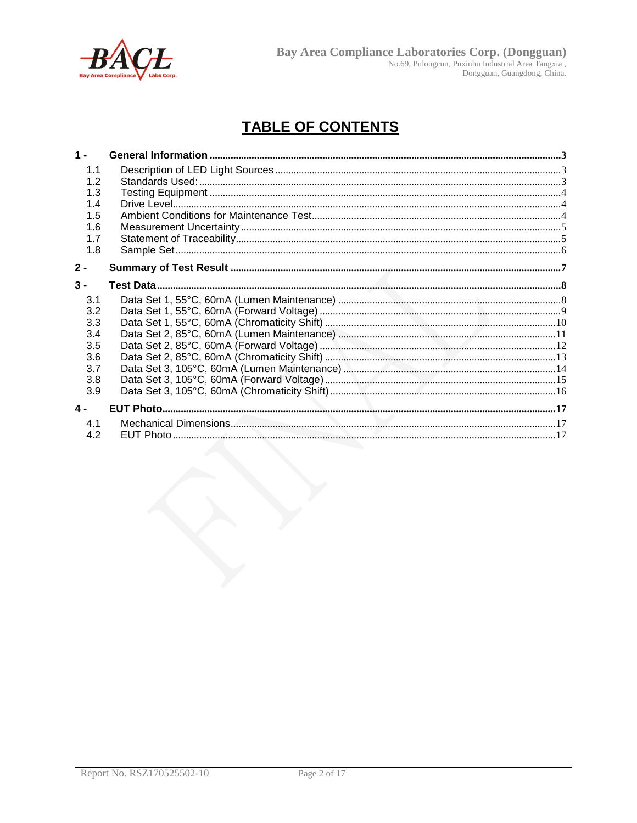

# **TABLE OF CONTENTS**

| $1 -$         |  |
|---------------|--|
| 1.1           |  |
| 1.2           |  |
| 1.3           |  |
| 1.4           |  |
| 1.5           |  |
| 1.6           |  |
| 1.7           |  |
| 1.8           |  |
| $2 -$         |  |
| $3 -$         |  |
| 3.1           |  |
| 3.2           |  |
| 3.3           |  |
| 3.4           |  |
| 3.5           |  |
| 3.6           |  |
| 3.7           |  |
| 3.8           |  |
| 3.9           |  |
| $\mathbf 4$ - |  |
| 4.1           |  |
| 4.2           |  |
|               |  |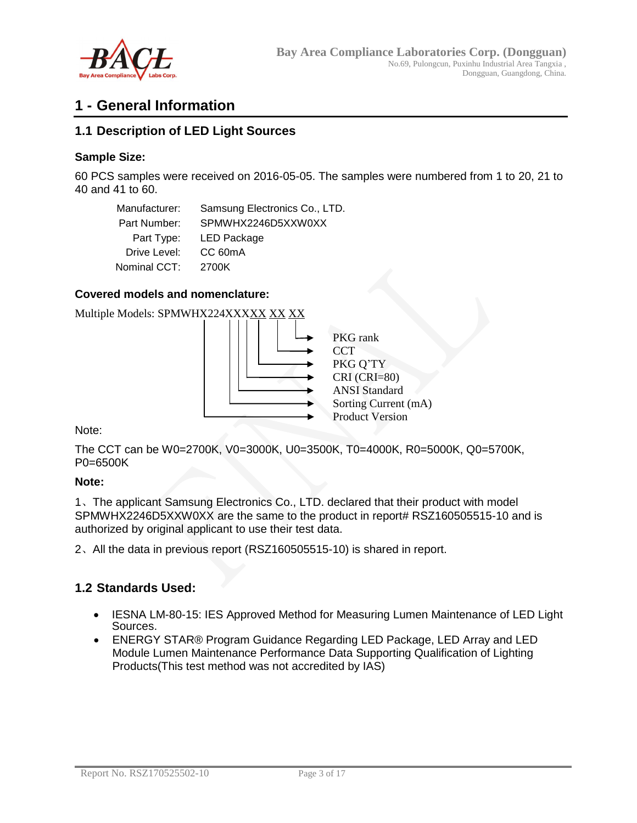

# **1 - General Information**

### **1.1 Description of LED Light Sources**

### **Sample Size:**

60 PCS samples were received on 2016-05-05. The samples were numbered from 1 to 20, 21 to 40 and 41 to 60.

Manufacturer: Samsung Electronics Co., LTD. Part Number: SPMWHX2246D5XXW0XX Part Type: LED Package Drive Level: CC 60mA Nominal CCT: 2700K

#### **Covered models and nomenclature:**

Multiple Models: SPMWHX224XXXXX XX XX



Note:

The CCT can be W0=2700K, V0=3000K, U0=3500K, T0=4000K, R0=5000K, Q0=5700K, P0=6500K

#### **Note:**

1、The applicant Samsung Electronics Co., LTD. declared that their product with model SPMWHX2246D5XXW0XX are the same to the product in report# RSZ160505515-10 and is authorized by original applicant to use their test data.

2、All the data in previous report (RSZ160505515-10) is shared in report.

### **1.2 Standards Used:**

- IESNA LM-80-15: IES Approved Method for Measuring Lumen Maintenance of LED Light Sources.
- ENERGY STAR® Program Guidance Regarding LED Package, LED Array and LED Module Lumen Maintenance Performance Data Supporting Qualification of Lighting Products(This test method was not accredited by IAS)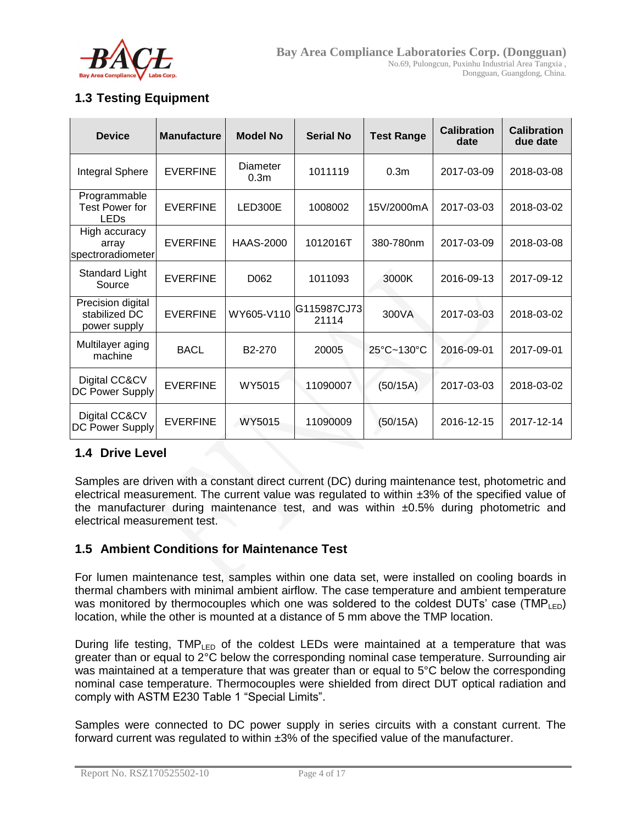

### **1.3 Testing Equipment**

| <b>Device</b>                                        | <b>Manufacture</b> | <b>Model No</b>              | <b>Serial No</b>     | <b>Test Range</b> | <b>Calibration</b><br>date | <b>Calibration</b><br>due date |
|------------------------------------------------------|--------------------|------------------------------|----------------------|-------------------|----------------------------|--------------------------------|
| Integral Sphere                                      | <b>EVERFINE</b>    | Diameter<br>0.3 <sub>m</sub> | 1011119              | 0.3 <sub>m</sub>  | 2017-03-09                 | 2018-03-08                     |
| Programmable<br><b>Test Power for</b><br><b>LEDs</b> | <b>EVERFINE</b>    | LED300E                      | 1008002              | 15V/2000mA        | 2017-03-03                 | 2018-03-02                     |
| High accuracy<br>array<br>spectroradiometer          | <b>EVERFINE</b>    | <b>HAAS-2000</b>             | 1012016T             | 380-780nm         | 2017-03-09                 | 2018-03-08                     |
| Standard Light<br>Source                             | <b>EVERFINE</b>    | D <sub>062</sub>             | 1011093              | 3000K             | 2016-09-13                 | 2017-09-12                     |
| Precision digital<br>stabilized DC<br>power supply   | <b>EVERFINE</b>    | WY605-V110                   | G115987CJ73<br>21114 | 300VA             | 2017-03-03                 | 2018-03-02                     |
| Multilayer aging<br>machine                          | <b>BACL</b>        | B <sub>2</sub> -270          | 20005                | 25°C~130°C        | 2016-09-01                 | 2017-09-01                     |
| Digital CC&CV<br>DC Power Supply                     | <b>EVERFINE</b>    | WY5015                       | 11090007             | (50/15A)          | 2017-03-03                 | 2018-03-02                     |
| Digital CC&CV<br>DC Power Supply                     | <b>EVERFINE</b>    | WY5015                       | 11090009             | (50/15A)          | 2016-12-15                 | 2017-12-14                     |

### **1.4 Drive Level**

Samples are driven with a constant direct current (DC) during maintenance test, photometric and electrical measurement. The current value was regulated to within ±3% of the specified value of the manufacturer during maintenance test, and was within  $\pm 0.5\%$  during photometric and electrical measurement test.

### **1.5 Ambient Conditions for Maintenance Test**

For lumen maintenance test, samples within one data set, were installed on cooling boards in thermal chambers with minimal ambient airflow. The case temperature and ambient temperature was monitored by thermocouples which one was soldered to the coldest DUTs' case (TMP<sub>LED</sub>) location, while the other is mounted at a distance of 5 mm above the TMP location.

During life testing, TMPLED of the coldest LEDs were maintained at a temperature that was greater than or equal to 2°C below the corresponding nominal case temperature. Surrounding air was maintained at a temperature that was greater than or equal to 5°C below the corresponding nominal case temperature. Thermocouples were shielded from direct DUT optical radiation and comply with ASTM E230 Table 1 "Special Limits".

Samples were connected to DC power supply in series circuits with a constant current. The forward current was regulated to within ±3% of the specified value of the manufacturer.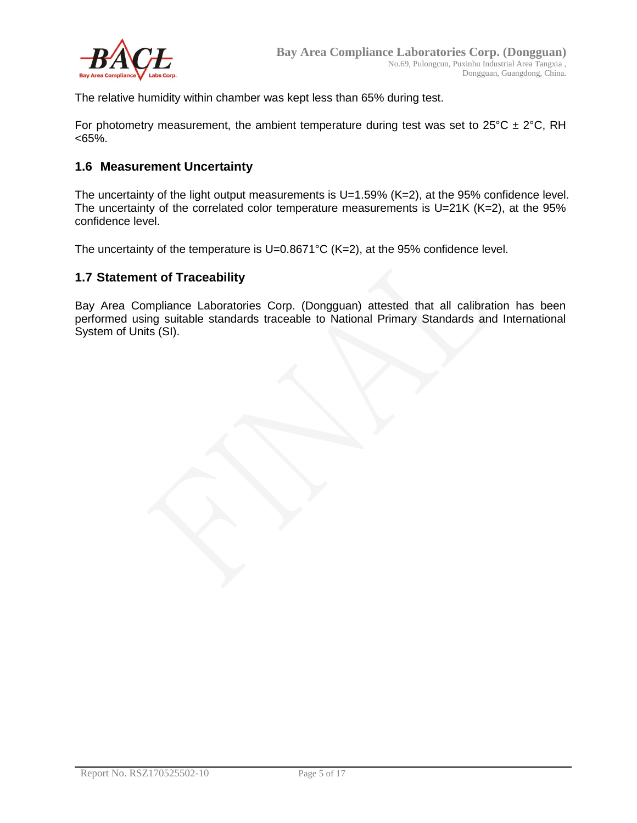

The relative humidity within chamber was kept less than 65% during test.

For photometry measurement, the ambient temperature during test was set to  $25^{\circ}$ C  $\pm$  2°C, RH  $<65%$ .

### **1.6 Measurement Uncertainty**

The uncertainty of the light output measurements is U=1.59% (K=2), at the 95% confidence level. The uncertainty of the correlated color temperature measurements is U=21K (K=2), at the 95% confidence level.

The uncertainty of the temperature is U=0.8671°C (K=2), at the 95% confidence level.

#### **1.7 Statement of Traceability**

Bay Area Compliance Laboratories Corp. (Dongguan) attested that all calibration has been performed using suitable standards traceable to National Primary Standards and International System of Units (SI).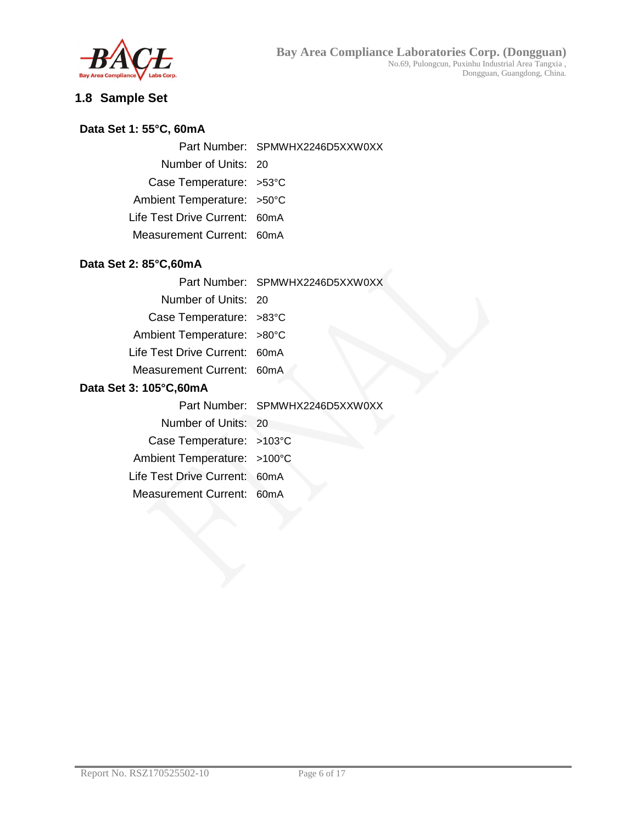

# **1.8 Sample Set**

### **Data Set 1: 55°C, 60mA**

Part Number: SPMWHX2246D5XXW0XX

Number of Units: 20

Case Temperature: >53°C

Ambient Temperature: >50°C

Life Test Drive Current: 60mA

Measurement Current: 60mA

### **Data Set 2: 85°C,60mA**

Number of Units: 20

Case Temperature: >83°C

Ambient Temperature: >80°C

Life Test Drive Current: 60mA

Measurement Current: 60mA

### **Data Set 3: 105°C,60mA**

|                             | Part Number: SPMWHX2246D5XXW0XX |
|-----------------------------|---------------------------------|
| Number of Units: 20         |                                 |
| Case Temperature: >103°C    |                                 |
| Ambient Temperature: >100°C |                                 |

Life Test Drive Current: 60mA

Measurement Current: 60mA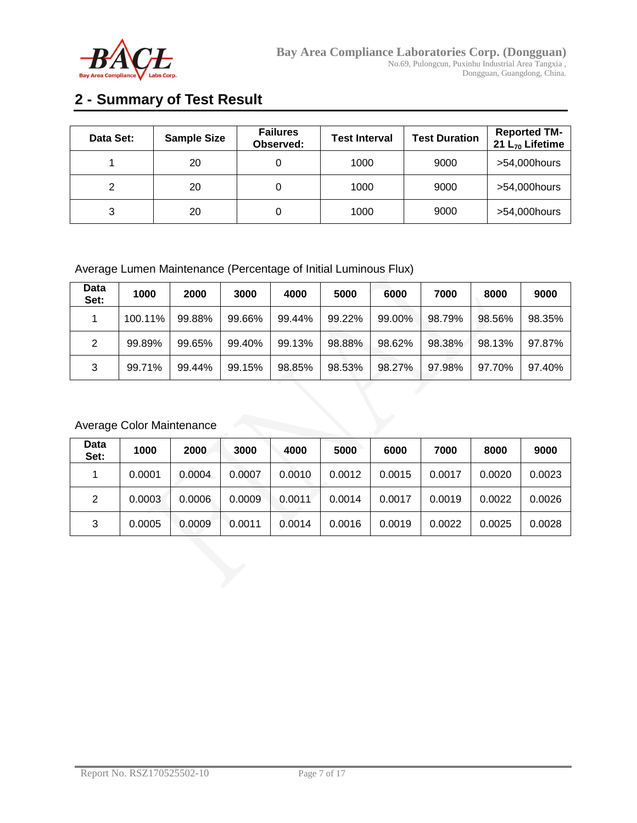

# **2 - Summary of Test Result**

| Data Set: | <b>Sample Size</b> | <b>Failures</b><br>Observed: | <b>Test Interval</b> | <b>Test Duration</b> | <b>Reported TM-</b><br>21 $L_{70}$ Lifetime |
|-----------|--------------------|------------------------------|----------------------|----------------------|---------------------------------------------|
|           | 20                 |                              | 1000                 | 9000                 | >54,000hours                                |
| 2         | 20                 |                              | 1000                 | 9000                 | >54,000hours                                |
| 3         | 20                 |                              | 1000                 | 9000                 | >54,000hours                                |

### Average Lumen Maintenance (Percentage of Initial Luminous Flux)

| Data<br>Set: | 1000    | 2000   | 3000   | 4000   | 5000   | 6000   | 7000   | 8000   | 9000   |
|--------------|---------|--------|--------|--------|--------|--------|--------|--------|--------|
|              | 100.11% | 99.88% | 99.66% | 99.44% | 99.22% | 99.00% | 98.79% | 98.56% | 98.35% |
| 2            | 99.89%  | 99.65% | 99.40% | 99.13% | 98.88% | 98.62% | 98.38% | 98.13% | 97.87% |
| 3            | 99.71%  | 99.44% | 99.15% | 98.85% | 98.53% | 98.27% | 97.98% | 97.70% | 97.40% |

### Average Color Maintenance

| Data<br>Set: | 1000   | 2000   | 3000   | 4000   | 5000   | 6000   | 7000   | 8000   | 9000   |
|--------------|--------|--------|--------|--------|--------|--------|--------|--------|--------|
|              | 0.0001 | 0.0004 | 0.0007 | 0.0010 | 0.0012 | 0.0015 | 0.0017 | 0.0020 | 0.0023 |
| 2            | 0.0003 | 0.0006 | 0.0009 | 0.0011 | 0.0014 | 0.0017 | 0.0019 | 0.0022 | 0.0026 |
| 3            | 0.0005 | 0.0009 | 0.0011 | 0.0014 | 0.0016 | 0.0019 | 0.0022 | 0.0025 | 0.0028 |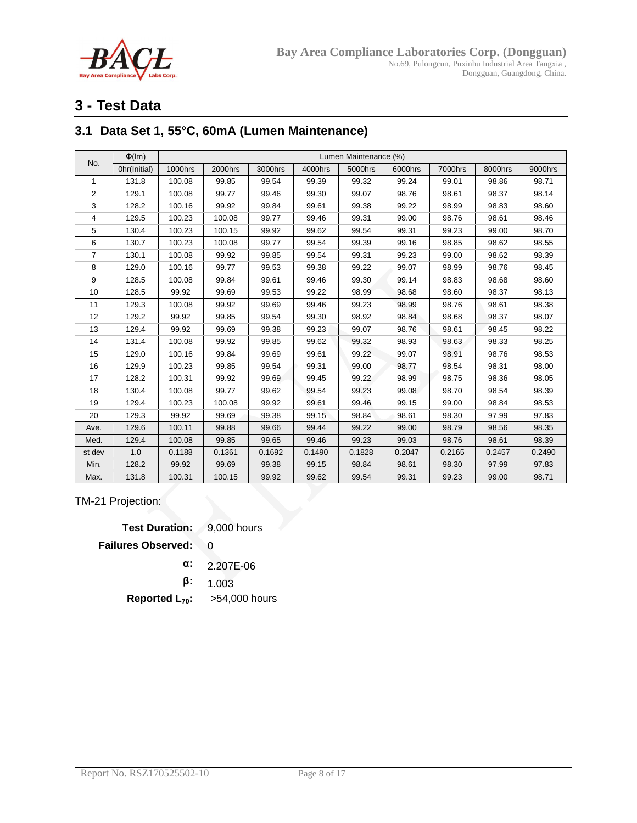

# **3 - Test Data**

### **3.1 Data Set 1, 55°C, 60mA (Lumen Maintenance)**

| No.            | $\Phi$ (Im)  |         |         |         |         | Lumen Maintenance (%) |         |         |         |         |
|----------------|--------------|---------|---------|---------|---------|-----------------------|---------|---------|---------|---------|
|                | Ohr(Initial) | 1000hrs | 2000hrs | 3000hrs | 4000hrs | 5000hrs               | 6000hrs | 7000hrs | 8000hrs | 9000hrs |
| $\mathbf{1}$   | 131.8        | 100.08  | 99.85   | 99.54   | 99.39   | 99.32                 | 99.24   | 99.01   | 98.86   | 98.71   |
| $\overline{2}$ | 129.1        | 100.08  | 99.77   | 99.46   | 99.30   | 99.07                 | 98.76   | 98.61   | 98.37   | 98.14   |
| 3              | 128.2        | 100.16  | 99.92   | 99.84   | 99.61   | 99.38                 | 99.22   | 98.99   | 98.83   | 98.60   |
| 4              | 129.5        | 100.23  | 100.08  | 99.77   | 99.46   | 99.31                 | 99.00   | 98.76   | 98.61   | 98.46   |
| 5              | 130.4        | 100.23  | 100.15  | 99.92   | 99.62   | 99.54                 | 99.31   | 99.23   | 99.00   | 98.70   |
| 6              | 130.7        | 100.23  | 100.08  | 99.77   | 99.54   | 99.39                 | 99.16   | 98.85   | 98.62   | 98.55   |
| $\overline{7}$ | 130.1        | 100.08  | 99.92   | 99.85   | 99.54   | 99.31                 | 99.23   | 99.00   | 98.62   | 98.39   |
| 8              | 129.0        | 100.16  | 99.77   | 99.53   | 99.38   | 99.22                 | 99.07   | 98.99   | 98.76   | 98.45   |
| 9              | 128.5        | 100.08  | 99.84   | 99.61   | 99.46   | 99.30                 | 99.14   | 98.83   | 98.68   | 98.60   |
| 10             | 128.5        | 99.92   | 99.69   | 99.53   | 99.22   | 98.99                 | 98.68   | 98.60   | 98.37   | 98.13   |
| 11             | 129.3        | 100.08  | 99.92   | 99.69   | 99.46   | 99.23                 | 98.99   | 98.76   | 98.61   | 98.38   |
| 12             | 129.2        | 99.92   | 99.85   | 99.54   | 99.30   | 98.92                 | 98.84   | 98.68   | 98.37   | 98.07   |
| 13             | 129.4        | 99.92   | 99.69   | 99.38   | 99.23   | 99.07                 | 98.76   | 98.61   | 98.45   | 98.22   |
| 14             | 131.4        | 100.08  | 99.92   | 99.85   | 99.62   | 99.32                 | 98.93   | 98.63   | 98.33   | 98.25   |
| 15             | 129.0        | 100.16  | 99.84   | 99.69   | 99.61   | 99.22                 | 99.07   | 98.91   | 98.76   | 98.53   |
| 16             | 129.9        | 100.23  | 99.85   | 99.54   | 99.31   | 99.00                 | 98.77   | 98.54   | 98.31   | 98.00   |
| 17             | 128.2        | 100.31  | 99.92   | 99.69   | 99.45   | 99.22                 | 98.99   | 98.75   | 98.36   | 98.05   |
| 18             | 130.4        | 100.08  | 99.77   | 99.62   | 99.54   | 99.23                 | 99.08   | 98.70   | 98.54   | 98.39   |
| 19             | 129.4        | 100.23  | 100.08  | 99.92   | 99.61   | 99.46                 | 99.15   | 99.00   | 98.84   | 98.53   |
| 20             | 129.3        | 99.92   | 99.69   | 99.38   | 99.15   | 98.84                 | 98.61   | 98.30   | 97.99   | 97.83   |
| Ave.           | 129.6        | 100.11  | 99.88   | 99.66   | 99.44   | 99.22                 | 99.00   | 98.79   | 98.56   | 98.35   |
| Med.           | 129.4        | 100.08  | 99.85   | 99.65   | 99.46   | 99.23                 | 99.03   | 98.76   | 98.61   | 98.39   |
| st dev         | 1.0          | 0.1188  | 0.1361  | 0.1692  | 0.1490  | 0.1828                | 0.2047  | 0.2165  | 0.2457  | 0.2490  |
| Min.           | 128.2        | 99.92   | 99.69   | 99.38   | 99.15   | 98.84                 | 98.61   | 98.30   | 97.99   | 97.83   |
| Max.           | 131.8        | 100.31  | 100.15  | 99.92   | 99.62   | 99.54                 | 99.31   | 99.23   | 99.00   | 98.71   |

TM-21 Projection:

**Test Duration:** 9,000 hours **Failures Observed:** 0 **α:** 2.207E-06 **β:** 1.003 **Reported L70:** >54,000 hours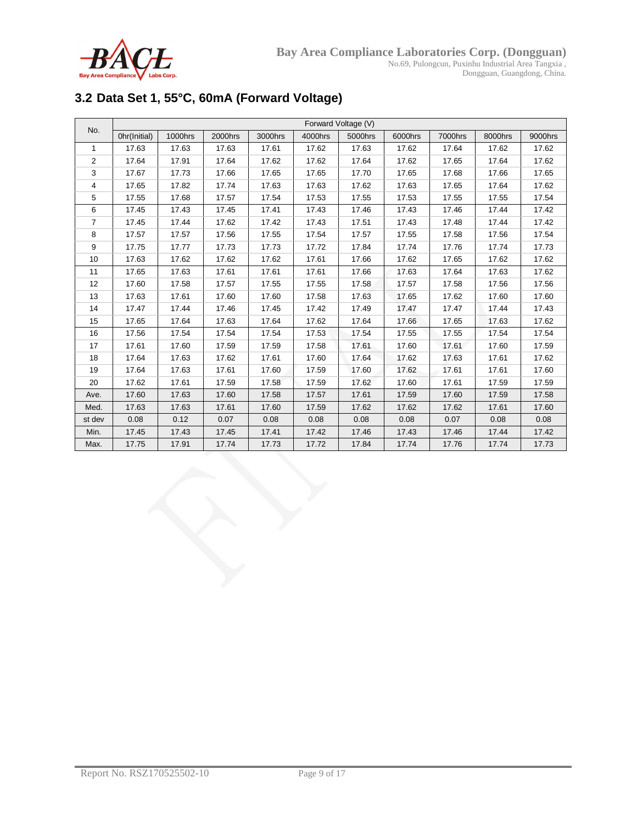

# **3.2 Data Set 1, 55°C, 60mA (Forward Voltage)**

| No.            |              |         |         |         |         | Forward Voltage (V) |         |         |         |         |
|----------------|--------------|---------|---------|---------|---------|---------------------|---------|---------|---------|---------|
|                | Ohr(Initial) | 1000hrs | 2000hrs | 3000hrs | 4000hrs | 5000hrs             | 6000hrs | 7000hrs | 8000hrs | 9000hrs |
| $\mathbf{1}$   | 17.63        | 17.63   | 17.63   | 17.61   | 17.62   | 17.63               | 17.62   | 17.64   | 17.62   | 17.62   |
| 2              | 17.64        | 17.91   | 17.64   | 17.62   | 17.62   | 17.64               | 17.62   | 17.65   | 17.64   | 17.62   |
| 3              | 17.67        | 17.73   | 17.66   | 17.65   | 17.65   | 17.70               | 17.65   | 17.68   | 17.66   | 17.65   |
| 4              | 17.65        | 17.82   | 17.74   | 17.63   | 17.63   | 17.62               | 17.63   | 17.65   | 17.64   | 17.62   |
| 5              | 17.55        | 17.68   | 17.57   | 17.54   | 17.53   | 17.55               | 17.53   | 17.55   | 17.55   | 17.54   |
| 6              | 17.45        | 17.43   | 17.45   | 17.41   | 17.43   | 17.46               | 17.43   | 17.46   | 17.44   | 17.42   |
| $\overline{7}$ | 17.45        | 17.44   | 17.62   | 17.42   | 17.43   | 17.51               | 17.43   | 17.48   | 17.44   | 17.42   |
| 8              | 17.57        | 17.57   | 17.56   | 17.55   | 17.54   | 17.57               | 17.55   | 17.58   | 17.56   | 17.54   |
| 9              | 17.75        | 17.77   | 17.73   | 17.73   | 17.72   | 17.84               | 17.74   | 17.76   | 17.74   | 17.73   |
| 10             | 17.63        | 17.62   | 17.62   | 17.62   | 17.61   | 17.66               | 17.62   | 17.65   | 17.62   | 17.62   |
| 11             | 17.65        | 17.63   | 17.61   | 17.61   | 17.61   | 17.66               | 17.63   | 17.64   | 17.63   | 17.62   |
| 12             | 17.60        | 17.58   | 17.57   | 17.55   | 17.55   | 17.58               | 17.57   | 17.58   | 17.56   | 17.56   |
| 13             | 17.63        | 17.61   | 17.60   | 17.60   | 17.58   | 17.63               | 17.65   | 17.62   | 17.60   | 17.60   |
| 14             | 17.47        | 17.44   | 17.46   | 17.45   | 17.42   | 17.49               | 17.47   | 17.47   | 17.44   | 17.43   |
| 15             | 17.65        | 17.64   | 17.63   | 17.64   | 17.62   | 17.64               | 17.66   | 17.65   | 17.63   | 17.62   |
| 16             | 17.56        | 17.54   | 17.54   | 17.54   | 17.53   | 17.54               | 17.55   | 17.55   | 17.54   | 17.54   |
| 17             | 17.61        | 17.60   | 17.59   | 17.59   | 17.58   | 17.61               | 17.60   | 17.61   | 17.60   | 17.59   |
| 18             | 17.64        | 17.63   | 17.62   | 17.61   | 17.60   | 17.64               | 17.62   | 17.63   | 17.61   | 17.62   |
| 19             | 17.64        | 17.63   | 17.61   | 17.60   | 17.59   | 17.60               | 17.62   | 17.61   | 17.61   | 17.60   |
| 20             | 17.62        | 17.61   | 17.59   | 17.58   | 17.59   | 17.62               | 17.60   | 17.61   | 17.59   | 17.59   |
| Ave.           | 17.60        | 17.63   | 17.60   | 17.58   | 17.57   | 17.61               | 17.59   | 17.60   | 17.59   | 17.58   |
| Med.           | 17.63        | 17.63   | 17.61   | 17.60   | 17.59   | 17.62               | 17.62   | 17.62   | 17.61   | 17.60   |
| st dev         | 0.08         | 0.12    | 0.07    | 0.08    | 0.08    | 0.08                | 0.08    | 0.07    | 0.08    | 0.08    |
| Min.           | 17.45        | 17.43   | 17.45   | 17.41   | 17.42   | 17.46               | 17.43   | 17.46   | 17.44   | 17.42   |
| Max.           | 17.75        | 17.91   | 17.74   | 17.73   | 17.72   | 17.84               | 17.74   | 17.76   | 17.74   | 17.73   |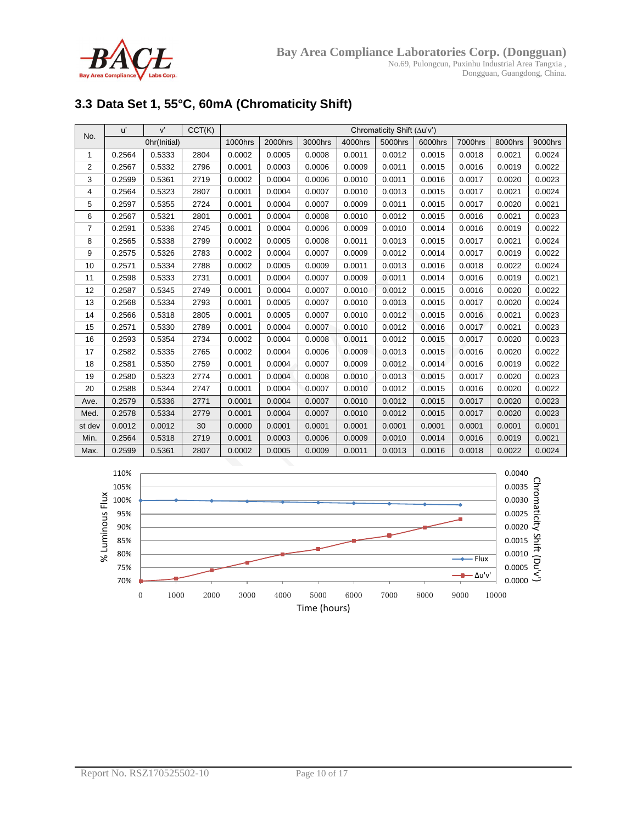

# **3.3 Data Set 1, 55°C, 60mA (Chromaticity Shift)**

| No.    | u'     | V'           | CCT(K) | Chromaticity Shift (Au'v') |         |         |         |         |         |         |         |         |
|--------|--------|--------------|--------|----------------------------|---------|---------|---------|---------|---------|---------|---------|---------|
|        |        | Ohr(Initial) |        | 1000hrs                    | 2000hrs | 3000hrs | 4000hrs | 5000hrs | 6000hrs | 7000hrs | 8000hrs | 9000hrs |
| 1      | 0.2564 | 0.5333       | 2804   | 0.0002                     | 0.0005  | 0.0008  | 0.0011  | 0.0012  | 0.0015  | 0.0018  | 0.0021  | 0.0024  |
| 2      | 0.2567 | 0.5332       | 2796   | 0.0001                     | 0.0003  | 0.0006  | 0.0009  | 0.0011  | 0.0015  | 0.0016  | 0.0019  | 0.0022  |
| 3      | 0.2599 | 0.5361       | 2719   | 0.0002                     | 0.0004  | 0.0006  | 0.0010  | 0.0011  | 0.0016  | 0.0017  | 0.0020  | 0.0023  |
| 4      | 0.2564 | 0.5323       | 2807   | 0.0001                     | 0.0004  | 0.0007  | 0.0010  | 0.0013  | 0.0015  | 0.0017  | 0.0021  | 0.0024  |
| 5      | 0.2597 | 0.5355       | 2724   | 0.0001                     | 0.0004  | 0.0007  | 0.0009  | 0.0011  | 0.0015  | 0.0017  | 0.0020  | 0.0021  |
| 6      | 0.2567 | 0.5321       | 2801   | 0.0001                     | 0.0004  | 0.0008  | 0.0010  | 0.0012  | 0.0015  | 0.0016  | 0.0021  | 0.0023  |
| 7      | 0.2591 | 0.5336       | 2745   | 0.0001                     | 0.0004  | 0.0006  | 0.0009  | 0.0010  | 0.0014  | 0.0016  | 0.0019  | 0.0022  |
| 8      | 0.2565 | 0.5338       | 2799   | 0.0002                     | 0.0005  | 0.0008  | 0.0011  | 0.0013  | 0.0015  | 0.0017  | 0.0021  | 0.0024  |
| 9      | 0.2575 | 0.5326       | 2783   | 0.0002                     | 0.0004  | 0.0007  | 0.0009  | 0.0012  | 0.0014  | 0.0017  | 0.0019  | 0.0022  |
| 10     | 0.2571 | 0.5334       | 2788   | 0.0002                     | 0.0005  | 0.0009  | 0.0011  | 0.0013  | 0.0016  | 0.0018  | 0.0022  | 0.0024  |
| 11     | 0.2598 | 0.5333       | 2731   | 0.0001                     | 0.0004  | 0.0007  | 0.0009  | 0.0011  | 0.0014  | 0.0016  | 0.0019  | 0.0021  |
| 12     | 0.2587 | 0.5345       | 2749   | 0.0001                     | 0.0004  | 0.0007  | 0.0010  | 0.0012  | 0.0015  | 0.0016  | 0.0020  | 0.0022  |
| 13     | 0.2568 | 0.5334       | 2793   | 0.0001                     | 0.0005  | 0.0007  | 0.0010  | 0.0013  | 0.0015  | 0.0017  | 0.0020  | 0.0024  |
| 14     | 0.2566 | 0.5318       | 2805   | 0.0001                     | 0.0005  | 0.0007  | 0.0010  | 0.0012  | 0.0015  | 0.0016  | 0.0021  | 0.0023  |
| 15     | 0.2571 | 0.5330       | 2789   | 0.0001                     | 0.0004  | 0.0007  | 0.0010  | 0.0012  | 0.0016  | 0.0017  | 0.0021  | 0.0023  |
| 16     | 0.2593 | 0.5354       | 2734   | 0.0002                     | 0.0004  | 0.0008  | 0.0011  | 0.0012  | 0.0015  | 0.0017  | 0.0020  | 0.0023  |
| 17     | 0.2582 | 0.5335       | 2765   | 0.0002                     | 0.0004  | 0.0006  | 0.0009  | 0.0013  | 0.0015  | 0.0016  | 0.0020  | 0.0022  |
| 18     | 0.2581 | 0.5350       | 2759   | 0.0001                     | 0.0004  | 0.0007  | 0.0009  | 0.0012  | 0.0014  | 0.0016  | 0.0019  | 0.0022  |
| 19     | 0.2580 | 0.5323       | 2774   | 0.0001                     | 0.0004  | 0.0008  | 0.0010  | 0.0013  | 0.0015  | 0.0017  | 0.0020  | 0.0023  |
| 20     | 0.2588 | 0.5344       | 2747   | 0.0001                     | 0.0004  | 0.0007  | 0.0010  | 0.0012  | 0.0015  | 0.0016  | 0.0020  | 0.0022  |
| Ave.   | 0.2579 | 0.5336       | 2771   | 0.0001                     | 0.0004  | 0.0007  | 0.0010  | 0.0012  | 0.0015  | 0.0017  | 0.0020  | 0.0023  |
| Med.   | 0.2578 | 0.5334       | 2779   | 0.0001                     | 0.0004  | 0.0007  | 0.0010  | 0.0012  | 0.0015  | 0.0017  | 0.0020  | 0.0023  |
| st dev | 0.0012 | 0.0012       | 30     | 0.0000                     | 0.0001  | 0.0001  | 0.0001  | 0.0001  | 0.0001  | 0.0001  | 0.0001  | 0.0001  |
| Min.   | 0.2564 | 0.5318       | 2719   | 0.0001                     | 0.0003  | 0.0006  | 0.0009  | 0.0010  | 0.0014  | 0.0016  | 0.0019  | 0.0021  |
| Max.   | 0.2599 | 0.5361       | 2807   | 0.0002                     | 0.0005  | 0.0009  | 0.0011  | 0.0013  | 0.0016  | 0.0018  | 0.0022  | 0.0024  |

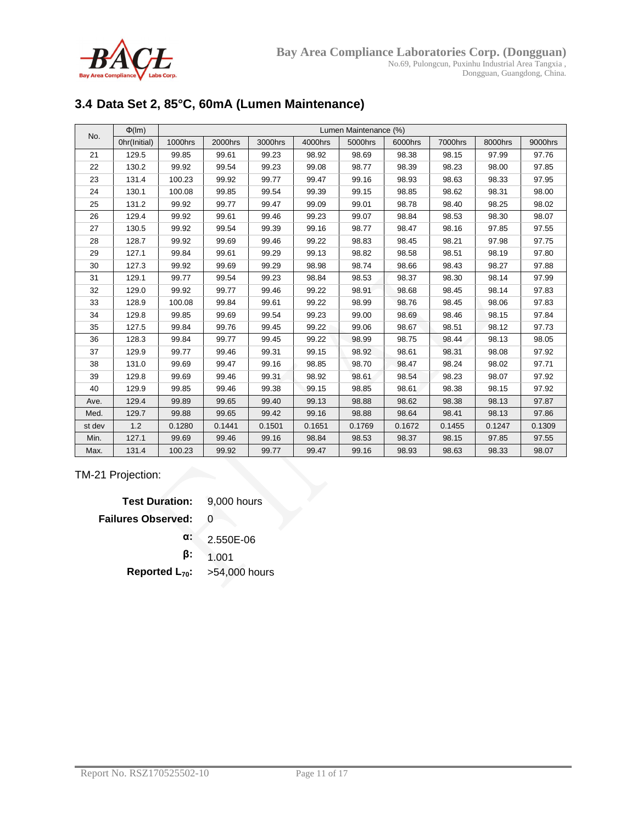

# **3.4 Data Set 2, 85°C, 60mA (Lumen Maintenance)**

| No.    | $\Phi$ (Im)  |         |         |         |         | Lumen Maintenance (%) |         |         |         |         |
|--------|--------------|---------|---------|---------|---------|-----------------------|---------|---------|---------|---------|
|        | Ohr(Initial) | 1000hrs | 2000hrs | 3000hrs | 4000hrs | 5000hrs               | 6000hrs | 7000hrs | 8000hrs | 9000hrs |
| 21     | 129.5        | 99.85   | 99.61   | 99.23   | 98.92   | 98.69                 | 98.38   | 98.15   | 97.99   | 97.76   |
| 22     | 130.2        | 99.92   | 99.54   | 99.23   | 99.08   | 98.77                 | 98.39   | 98.23   | 98.00   | 97.85   |
| 23     | 131.4        | 100.23  | 99.92   | 99.77   | 99.47   | 99.16                 | 98.93   | 98.63   | 98.33   | 97.95   |
| 24     | 130.1        | 100.08  | 99.85   | 99.54   | 99.39   | 99.15                 | 98.85   | 98.62   | 98.31   | 98.00   |
| 25     | 131.2        | 99.92   | 99.77   | 99.47   | 99.09   | 99.01                 | 98.78   | 98.40   | 98.25   | 98.02   |
| 26     | 129.4        | 99.92   | 99.61   | 99.46   | 99.23   | 99.07                 | 98.84   | 98.53   | 98.30   | 98.07   |
| 27     | 130.5        | 99.92   | 99.54   | 99.39   | 99.16   | 98.77                 | 98.47   | 98.16   | 97.85   | 97.55   |
| 28     | 128.7        | 99.92   | 99.69   | 99.46   | 99.22   | 98.83                 | 98.45   | 98.21   | 97.98   | 97.75   |
| 29     | 127.1        | 99.84   | 99.61   | 99.29   | 99.13   | 98.82                 | 98.58   | 98.51   | 98.19   | 97.80   |
| 30     | 127.3        | 99.92   | 99.69   | 99.29   | 98.98   | 98.74                 | 98.66   | 98.43   | 98.27   | 97.88   |
| 31     | 129.1        | 99.77   | 99.54   | 99.23   | 98.84   | 98.53                 | 98.37   | 98.30   | 98.14   | 97.99   |
| 32     | 129.0        | 99.92   | 99.77   | 99.46   | 99.22   | 98.91                 | 98.68   | 98.45   | 98.14   | 97.83   |
| 33     | 128.9        | 100.08  | 99.84   | 99.61   | 99.22   | 98.99                 | 98.76   | 98.45   | 98.06   | 97.83   |
| 34     | 129.8        | 99.85   | 99.69   | 99.54   | 99.23   | 99.00                 | 98.69   | 98.46   | 98.15   | 97.84   |
| 35     | 127.5        | 99.84   | 99.76   | 99.45   | 99.22   | 99.06                 | 98.67   | 98.51   | 98.12   | 97.73   |
| 36     | 128.3        | 99.84   | 99.77   | 99.45   | 99.22   | 98.99                 | 98.75   | 98.44   | 98.13   | 98.05   |
| 37     | 129.9        | 99.77   | 99.46   | 99.31   | 99.15   | 98.92                 | 98.61   | 98.31   | 98.08   | 97.92   |
| 38     | 131.0        | 99.69   | 99.47   | 99.16   | 98.85   | 98.70                 | 98.47   | 98.24   | 98.02   | 97.71   |
| 39     | 129.8        | 99.69   | 99.46   | 99.31   | 98.92   | 98.61                 | 98.54   | 98.23   | 98.07   | 97.92   |
| 40     | 129.9        | 99.85   | 99.46   | 99.38   | 99.15   | 98.85                 | 98.61   | 98.38   | 98.15   | 97.92   |
| Ave.   | 129.4        | 99.89   | 99.65   | 99.40   | 99.13   | 98.88                 | 98.62   | 98.38   | 98.13   | 97.87   |
| Med.   | 129.7        | 99.88   | 99.65   | 99.42   | 99.16   | 98.88                 | 98.64   | 98.41   | 98.13   | 97.86   |
| st dev | 1.2          | 0.1280  | 0.1441  | 0.1501  | 0.1651  | 0.1769                | 0.1672  | 0.1455  | 0.1247  | 0.1309  |
| Min.   | 127.1        | 99.69   | 99.46   | 99.16   | 98.84   | 98.53                 | 98.37   | 98.15   | 97.85   | 97.55   |
| Max.   | 131.4        | 100.23  | 99.92   | 99.77   | 99.47   | 99.16                 | 98.93   | 98.63   | 98.33   | 98.07   |

### TM-21 Projection:

| <b>Test Duration:</b> 9,000 hours |               |
|-----------------------------------|---------------|
| <b>Failures Observed:</b>         | 0             |
| α:                                | 2.550E-06     |
| β:                                | 1.001         |
| Reported $L_{70}$ :               | >54,000 hours |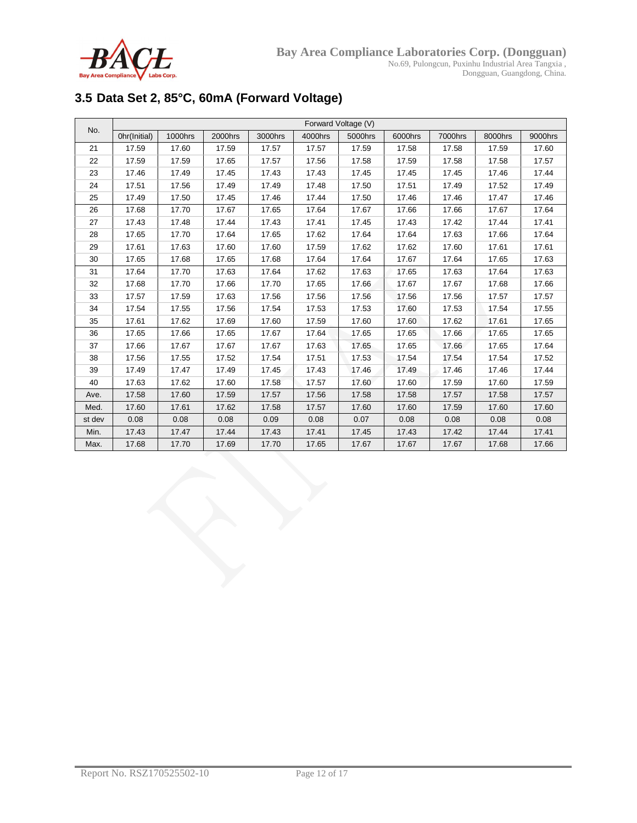

# **3.5 Data Set 2, 85°C, 60mA (Forward Voltage)**

| No.    | Forward Voltage (V) |         |         |         |         |         |         |         |         |         |  |  |
|--------|---------------------|---------|---------|---------|---------|---------|---------|---------|---------|---------|--|--|
|        | Ohr(Initial)        | 1000hrs | 2000hrs | 3000hrs | 4000hrs | 5000hrs | 6000hrs | 7000hrs | 8000hrs | 9000hrs |  |  |
| 21     | 17.59               | 17.60   | 17.59   | 17.57   | 17.57   | 17.59   | 17.58   | 17.58   | 17.59   | 17.60   |  |  |
| 22     | 17.59               | 17.59   | 17.65   | 17.57   | 17.56   | 17.58   | 17.59   | 17.58   | 17.58   | 17.57   |  |  |
| 23     | 17.46               | 17.49   | 17.45   | 17.43   | 17.43   | 17.45   | 17.45   | 17.45   | 17.46   | 17.44   |  |  |
| 24     | 17.51               | 17.56   | 17.49   | 17.49   | 17.48   | 17.50   | 17.51   | 17.49   | 17.52   | 17.49   |  |  |
| 25     | 17.49               | 17.50   | 17.45   | 17.46   | 17.44   | 17.50   | 17.46   | 17.46   | 17.47   | 17.46   |  |  |
| 26     | 17.68               | 17.70   | 17.67   | 17.65   | 17.64   | 17.67   | 17.66   | 17.66   | 17.67   | 17.64   |  |  |
| 27     | 17.43               | 17.48   | 17.44   | 17.43   | 17.41   | 17.45   | 17.43   | 17.42   | 17.44   | 17.41   |  |  |
| 28     | 17.65               | 17.70   | 17.64   | 17.65   | 17.62   | 17.64   | 17.64   | 17.63   | 17.66   | 17.64   |  |  |
| 29     | 17.61               | 17.63   | 17.60   | 17.60   | 17.59   | 17.62   | 17.62   | 17.60   | 17.61   | 17.61   |  |  |
| 30     | 17.65               | 17.68   | 17.65   | 17.68   | 17.64   | 17.64   | 17.67   | 17.64   | 17.65   | 17.63   |  |  |
| 31     | 17.64               | 17.70   | 17.63   | 17.64   | 17.62   | 17.63   | 17.65   | 17.63   | 17.64   | 17.63   |  |  |
| 32     | 17.68               | 17.70   | 17.66   | 17.70   | 17.65   | 17.66   | 17.67   | 17.67   | 17.68   | 17.66   |  |  |
| 33     | 17.57               | 17.59   | 17.63   | 17.56   | 17.56   | 17.56   | 17.56   | 17.56   | 17.57   | 17.57   |  |  |
| 34     | 17.54               | 17.55   | 17.56   | 17.54   | 17.53   | 17.53   | 17.60   | 17.53   | 17.54   | 17.55   |  |  |
| 35     | 17.61               | 17.62   | 17.69   | 17.60   | 17.59   | 17.60   | 17.60   | 17.62   | 17.61   | 17.65   |  |  |
| 36     | 17.65               | 17.66   | 17.65   | 17.67   | 17.64   | 17.65   | 17.65   | 17.66   | 17.65   | 17.65   |  |  |
| 37     | 17.66               | 17.67   | 17.67   | 17.67   | 17.63   | 17.65   | 17.65   | 17.66   | 17.65   | 17.64   |  |  |
| 38     | 17.56               | 17.55   | 17.52   | 17.54   | 17.51   | 17.53   | 17.54   | 17.54   | 17.54   | 17.52   |  |  |
| 39     | 17.49               | 17.47   | 17.49   | 17.45   | 17.43   | 17.46   | 17.49   | 17.46   | 17.46   | 17.44   |  |  |
| 40     | 17.63               | 17.62   | 17.60   | 17.58   | 17.57   | 17.60   | 17.60   | 17.59   | 17.60   | 17.59   |  |  |
| Ave.   | 17.58               | 17.60   | 17.59   | 17.57   | 17.56   | 17.58   | 17.58   | 17.57   | 17.58   | 17.57   |  |  |
| Med.   | 17.60               | 17.61   | 17.62   | 17.58   | 17.57   | 17.60   | 17.60   | 17.59   | 17.60   | 17.60   |  |  |
| st dev | 0.08                | 0.08    | 0.08    | 0.09    | 0.08    | 0.07    | 0.08    | 0.08    | 0.08    | 0.08    |  |  |
| Min.   | 17.43               | 17.47   | 17.44   | 17.43   | 17.41   | 17.45   | 17.43   | 17.42   | 17.44   | 17.41   |  |  |
| Max.   | 17.68               | 17.70   | 17.69   | 17.70   | 17.65   | 17.67   | 17.67   | 17.67   | 17.68   | 17.66   |  |  |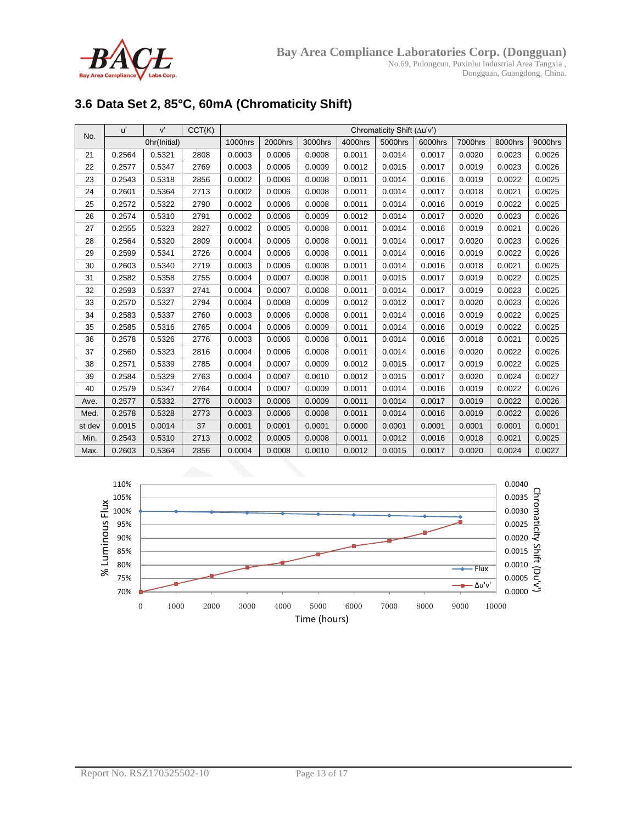

# **3.6 Data Set 2, 85°C, 60mA (Chromaticity Shift)**

| No.    | u'     | V'           | CCT(K) | Chromaticity Shift $(\Delta u'v')$ |         |         |         |         |         |         |         |         |
|--------|--------|--------------|--------|------------------------------------|---------|---------|---------|---------|---------|---------|---------|---------|
|        |        | Ohr(Initial) |        | 1000hrs                            | 2000hrs | 3000hrs | 4000hrs | 5000hrs | 6000hrs | 7000hrs | 8000hrs | 9000hrs |
| 21     | 0.2564 | 0.5321       | 2808   | 0.0003                             | 0.0006  | 0.0008  | 0.0011  | 0.0014  | 0.0017  | 0.0020  | 0.0023  | 0.0026  |
| 22     | 0.2577 | 0.5347       | 2769   | 0.0003                             | 0.0006  | 0.0009  | 0.0012  | 0.0015  | 0.0017  | 0.0019  | 0.0023  | 0.0026  |
| 23     | 0.2543 | 0.5318       | 2856   | 0.0002                             | 0.0006  | 0.0008  | 0.0011  | 0.0014  | 0.0016  | 0.0019  | 0.0022  | 0.0025  |
| 24     | 0.2601 | 0.5364       | 2713   | 0.0002                             | 0.0006  | 0.0008  | 0.0011  | 0.0014  | 0.0017  | 0.0018  | 0.0021  | 0.0025  |
| 25     | 0.2572 | 0.5322       | 2790   | 0.0002                             | 0.0006  | 0.0008  | 0.0011  | 0.0014  | 0.0016  | 0.0019  | 0.0022  | 0.0025  |
| 26     | 0.2574 | 0.5310       | 2791   | 0.0002                             | 0.0006  | 0.0009  | 0.0012  | 0.0014  | 0.0017  | 0.0020  | 0.0023  | 0.0026  |
| 27     | 0.2555 | 0.5323       | 2827   | 0.0002                             | 0.0005  | 0.0008  | 0.0011  | 0.0014  | 0.0016  | 0.0019  | 0.0021  | 0.0026  |
| 28     | 0.2564 | 0.5320       | 2809   | 0.0004                             | 0.0006  | 0.0008  | 0.0011  | 0.0014  | 0.0017  | 0.0020  | 0.0023  | 0.0026  |
| 29     | 0.2599 | 0.5341       | 2726   | 0.0004                             | 0.0006  | 0.0008  | 0.0011  | 0.0014  | 0.0016  | 0.0019  | 0.0022  | 0.0026  |
| 30     | 0.2603 | 0.5340       | 2719   | 0.0003                             | 0.0006  | 0.0008  | 0.0011  | 0.0014  | 0.0016  | 0.0018  | 0.0021  | 0.0025  |
| 31     | 0.2582 | 0.5358       | 2755   | 0.0004                             | 0.0007  | 0.0008  | 0.0011  | 0.0015  | 0.0017  | 0.0019  | 0.0022  | 0.0025  |
| 32     | 0.2593 | 0.5337       | 2741   | 0.0004                             | 0.0007  | 0.0008  | 0.0011  | 0.0014  | 0.0017  | 0.0019  | 0.0023  | 0.0025  |
| 33     | 0.2570 | 0.5327       | 2794   | 0.0004                             | 0.0008  | 0.0009  | 0.0012  | 0.0012  | 0.0017  | 0.0020  | 0.0023  | 0.0026  |
| 34     | 0.2583 | 0.5337       | 2760   | 0.0003                             | 0.0006  | 0.0008  | 0.0011  | 0.0014  | 0.0016  | 0.0019  | 0.0022  | 0.0025  |
| 35     | 0.2585 | 0.5316       | 2765   | 0.0004                             | 0.0006  | 0.0009  | 0.0011  | 0.0014  | 0.0016  | 0.0019  | 0.0022  | 0.0025  |
| 36     | 0.2578 | 0.5326       | 2776   | 0.0003                             | 0.0006  | 0.0008  | 0.0011  | 0.0014  | 0.0016  | 0.0018  | 0.0021  | 0.0025  |
| 37     | 0.2560 | 0.5323       | 2816   | 0.0004                             | 0.0006  | 0.0008  | 0.0011  | 0.0014  | 0.0016  | 0.0020  | 0.0022  | 0.0026  |
| 38     | 0.2571 | 0.5339       | 2785   | 0.0004                             | 0.0007  | 0.0009  | 0.0012  | 0.0015  | 0.0017  | 0.0019  | 0.0022  | 0.0025  |
| 39     | 0.2584 | 0.5329       | 2763   | 0.0004                             | 0.0007  | 0.0010  | 0.0012  | 0.0015  | 0.0017  | 0.0020  | 0.0024  | 0.0027  |
| 40     | 0.2579 | 0.5347       | 2764   | 0.0004                             | 0.0007  | 0.0009  | 0.0011  | 0.0014  | 0.0016  | 0.0019  | 0.0022  | 0.0026  |
| Ave.   | 0.2577 | 0.5332       | 2776   | 0.0003                             | 0.0006  | 0.0009  | 0.0011  | 0.0014  | 0.0017  | 0.0019  | 0.0022  | 0.0026  |
| Med.   | 0.2578 | 0.5328       | 2773   | 0.0003                             | 0.0006  | 0.0008  | 0.0011  | 0.0014  | 0.0016  | 0.0019  | 0.0022  | 0.0026  |
| st dev | 0.0015 | 0.0014       | 37     | 0.0001                             | 0.0001  | 0.0001  | 0.0000  | 0.0001  | 0.0001  | 0.0001  | 0.0001  | 0.0001  |
| Min.   | 0.2543 | 0.5310       | 2713   | 0.0002                             | 0.0005  | 0.0008  | 0.0011  | 0.0012  | 0.0016  | 0.0018  | 0.0021  | 0.0025  |
| Max.   | 0.2603 | 0.5364       | 2856   | 0.0004                             | 0.0008  | 0.0010  | 0.0012  | 0.0015  | 0.0017  | 0.0020  | 0.0024  | 0.0027  |

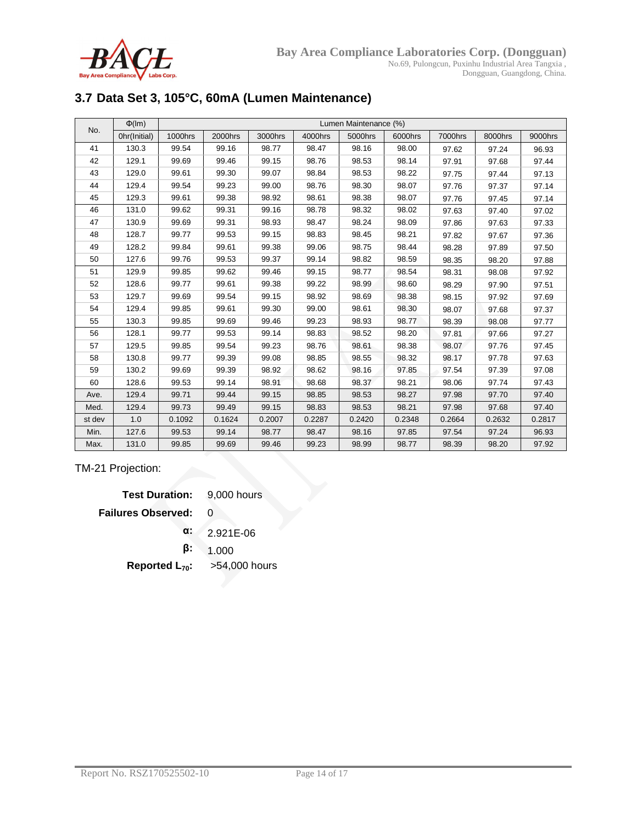

# **3.7 Data Set 3, 105°C, 60mA (Lumen Maintenance)**

| No.    | $\Phi$ (Im)  |         | Lumen Maintenance (%) |         |         |         |         |         |         |         |  |  |  |
|--------|--------------|---------|-----------------------|---------|---------|---------|---------|---------|---------|---------|--|--|--|
|        | Ohr(Initial) | 1000hrs | 2000hrs               | 3000hrs | 4000hrs | 5000hrs | 6000hrs | 7000hrs | 8000hrs | 9000hrs |  |  |  |
| 41     | 130.3        | 99.54   | 99.16                 | 98.77   | 98.47   | 98.16   | 98.00   | 97.62   | 97.24   | 96.93   |  |  |  |
| 42     | 129.1        | 99.69   | 99.46                 | 99.15   | 98.76   | 98.53   | 98.14   | 97.91   | 97.68   | 97.44   |  |  |  |
| 43     | 129.0        | 99.61   | 99.30                 | 99.07   | 98.84   | 98.53   | 98.22   | 97.75   | 97.44   | 97.13   |  |  |  |
| 44     | 129.4        | 99.54   | 99.23                 | 99.00   | 98.76   | 98.30   | 98.07   | 97.76   | 97.37   | 97.14   |  |  |  |
| 45     | 129.3        | 99.61   | 99.38                 | 98.92   | 98.61   | 98.38   | 98.07   | 97.76   | 97.45   | 97.14   |  |  |  |
| 46     | 131.0        | 99.62   | 99.31                 | 99.16   | 98.78   | 98.32   | 98.02   | 97.63   | 97.40   | 97.02   |  |  |  |
| 47     | 130.9        | 99.69   | 99.31                 | 98.93   | 98.47   | 98.24   | 98.09   | 97.86   | 97.63   | 97.33   |  |  |  |
| 48     | 128.7        | 99.77   | 99.53                 | 99.15   | 98.83   | 98.45   | 98.21   | 97.82   | 97.67   | 97.36   |  |  |  |
| 49     | 128.2        | 99.84   | 99.61                 | 99.38   | 99.06   | 98.75   | 98.44   | 98.28   | 97.89   | 97.50   |  |  |  |
| 50     | 127.6        | 99.76   | 99.53                 | 99.37   | 99.14   | 98.82   | 98.59   | 98.35   | 98.20   | 97.88   |  |  |  |
| 51     | 129.9        | 99.85   | 99.62                 | 99.46   | 99.15   | 98.77   | 98.54   | 98.31   | 98.08   | 97.92   |  |  |  |
| 52     | 128.6        | 99.77   | 99.61                 | 99.38   | 99.22   | 98.99   | 98.60   | 98.29   | 97.90   | 97.51   |  |  |  |
| 53     | 129.7        | 99.69   | 99.54                 | 99.15   | 98.92   | 98.69   | 98.38   | 98.15   | 97.92   | 97.69   |  |  |  |
| 54     | 129.4        | 99.85   | 99.61                 | 99.30   | 99.00   | 98.61   | 98.30   | 98.07   | 97.68   | 97.37   |  |  |  |
| 55     | 130.3        | 99.85   | 99.69                 | 99.46   | 99.23   | 98.93   | 98.77   | 98.39   | 98.08   | 97.77   |  |  |  |
| 56     | 128.1        | 99.77   | 99.53                 | 99.14   | 98.83   | 98.52   | 98.20   | 97.81   | 97.66   | 97.27   |  |  |  |
| 57     | 129.5        | 99.85   | 99.54                 | 99.23   | 98.76   | 98.61   | 98.38   | 98.07   | 97.76   | 97.45   |  |  |  |
| 58     | 130.8        | 99.77   | 99.39                 | 99.08   | 98.85   | 98.55   | 98.32   | 98.17   | 97.78   | 97.63   |  |  |  |
| 59     | 130.2        | 99.69   | 99.39                 | 98.92   | 98.62   | 98.16   | 97.85   | 97.54   | 97.39   | 97.08   |  |  |  |
| 60     | 128.6        | 99.53   | 99.14                 | 98.91   | 98.68   | 98.37   | 98.21   | 98.06   | 97.74   | 97.43   |  |  |  |
| Ave.   | 129.4        | 99.71   | 99.44                 | 99.15   | 98.85   | 98.53   | 98.27   | 97.98   | 97.70   | 97.40   |  |  |  |
| Med.   | 129.4        | 99.73   | 99.49                 | 99.15   | 98.83   | 98.53   | 98.21   | 97.98   | 97.68   | 97.40   |  |  |  |
| st dev | 1.0          | 0.1092  | 0.1624                | 0.2007  | 0.2287  | 0.2420  | 0.2348  | 0.2664  | 0.2632  | 0.2817  |  |  |  |
| Min.   | 127.6        | 99.53   | 99.14                 | 98.77   | 98.47   | 98.16   | 97.85   | 97.54   | 97.24   | 96.93   |  |  |  |
| Max.   | 131.0        | 99.85   | 99.69                 | 99.46   | 99.23   | 98.99   | 98.77   | 98.39   | 98.20   | 97.92   |  |  |  |

TM-21 Projection:

| <b>Test Duration:</b> 9,000 hours |               |
|-----------------------------------|---------------|
| <b>Failures Observed:</b>         | O             |
| α:                                | 2.921E-06     |
| ß:                                | 1.000         |
| Reported $L_{70}$ :               | >54,000 hours |
|                                   |               |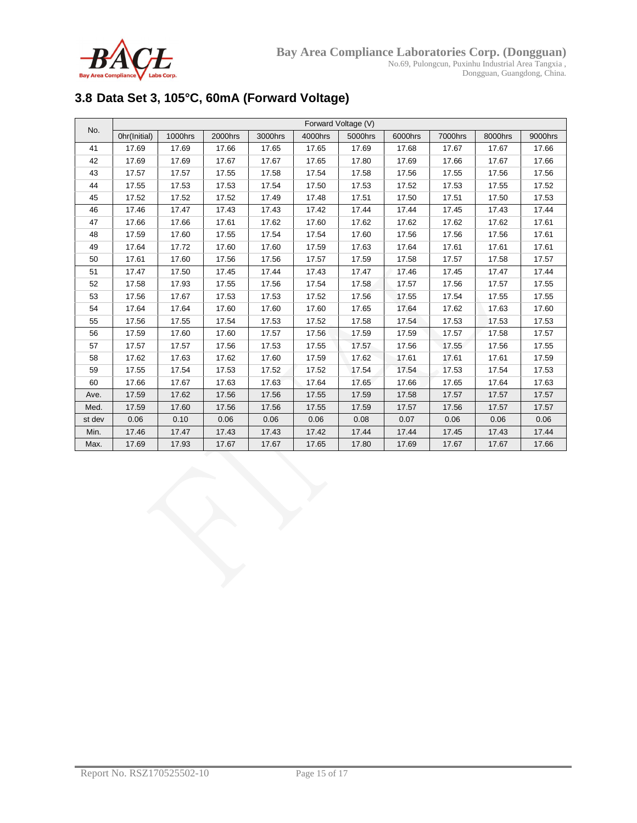

# **3.8 Data Set 3, 105°C, 60mA (Forward Voltage)**

| No.    | Forward Voltage (V) |         |         |         |         |         |         |         |         |         |  |  |
|--------|---------------------|---------|---------|---------|---------|---------|---------|---------|---------|---------|--|--|
|        | Ohr(Initial)        | 1000hrs | 2000hrs | 3000hrs | 4000hrs | 5000hrs | 6000hrs | 7000hrs | 8000hrs | 9000hrs |  |  |
| 41     | 17.69               | 17.69   | 17.66   | 17.65   | 17.65   | 17.69   | 17.68   | 17.67   | 17.67   | 17.66   |  |  |
| 42     | 17.69               | 17.69   | 17.67   | 17.67   | 17.65   | 17.80   | 17.69   | 17.66   | 17.67   | 17.66   |  |  |
| 43     | 17.57               | 17.57   | 17.55   | 17.58   | 17.54   | 17.58   | 17.56   | 17.55   | 17.56   | 17.56   |  |  |
| 44     | 17.55               | 17.53   | 17.53   | 17.54   | 17.50   | 17.53   | 17.52   | 17.53   | 17.55   | 17.52   |  |  |
| 45     | 17.52               | 17.52   | 17.52   | 17.49   | 17.48   | 17.51   | 17.50   | 17.51   | 17.50   | 17.53   |  |  |
| 46     | 17.46               | 17.47   | 17.43   | 17.43   | 17.42   | 17.44   | 17.44   | 17.45   | 17.43   | 17.44   |  |  |
| 47     | 17.66               | 17.66   | 17.61   | 17.62   | 17.60   | 17.62   | 17.62   | 17.62   | 17.62   | 17.61   |  |  |
| 48     | 17.59               | 17.60   | 17.55   | 17.54   | 17.54   | 17.60   | 17.56   | 17.56   | 17.56   | 17.61   |  |  |
| 49     | 17.64               | 17.72   | 17.60   | 17.60   | 17.59   | 17.63   | 17.64   | 17.61   | 17.61   | 17.61   |  |  |
| 50     | 17.61               | 17.60   | 17.56   | 17.56   | 17.57   | 17.59   | 17.58   | 17.57   | 17.58   | 17.57   |  |  |
| 51     | 17.47               | 17.50   | 17.45   | 17.44   | 17.43   | 17.47   | 17.46   | 17.45   | 17.47   | 17.44   |  |  |
| 52     | 17.58               | 17.93   | 17.55   | 17.56   | 17.54   | 17.58   | 17.57   | 17.56   | 17.57   | 17.55   |  |  |
| 53     | 17.56               | 17.67   | 17.53   | 17.53   | 17.52   | 17.56   | 17.55   | 17.54   | 17.55   | 17.55   |  |  |
| 54     | 17.64               | 17.64   | 17.60   | 17.60   | 17.60   | 17.65   | 17.64   | 17.62   | 17.63   | 17.60   |  |  |
| 55     | 17.56               | 17.55   | 17.54   | 17.53   | 17.52   | 17.58   | 17.54   | 17.53   | 17.53   | 17.53   |  |  |
| 56     | 17.59               | 17.60   | 17.60   | 17.57   | 17.56   | 17.59   | 17.59   | 17.57   | 17.58   | 17.57   |  |  |
| 57     | 17.57               | 17.57   | 17.56   | 17.53   | 17.55   | 17.57   | 17.56   | 17.55   | 17.56   | 17.55   |  |  |
| 58     | 17.62               | 17.63   | 17.62   | 17.60   | 17.59   | 17.62   | 17.61   | 17.61   | 17.61   | 17.59   |  |  |
| 59     | 17.55               | 17.54   | 17.53   | 17.52   | 17.52   | 17.54   | 17.54   | 17.53   | 17.54   | 17.53   |  |  |
| 60     | 17.66               | 17.67   | 17.63   | 17.63   | 17.64   | 17.65   | 17.66   | 17.65   | 17.64   | 17.63   |  |  |
| Ave.   | 17.59               | 17.62   | 17.56   | 17.56   | 17.55   | 17.59   | 17.58   | 17.57   | 17.57   | 17.57   |  |  |
| Med.   | 17.59               | 17.60   | 17.56   | 17.56   | 17.55   | 17.59   | 17.57   | 17.56   | 17.57   | 17.57   |  |  |
| st dev | 0.06                | 0.10    | 0.06    | 0.06    | 0.06    | 0.08    | 0.07    | 0.06    | 0.06    | 0.06    |  |  |
| Min.   | 17.46               | 17.47   | 17.43   | 17.43   | 17.42   | 17.44   | 17.44   | 17.45   | 17.43   | 17.44   |  |  |
| Max.   | 17.69               | 17.93   | 17.67   | 17.67   | 17.65   | 17.80   | 17.69   | 17.67   | 17.67   | 17.66   |  |  |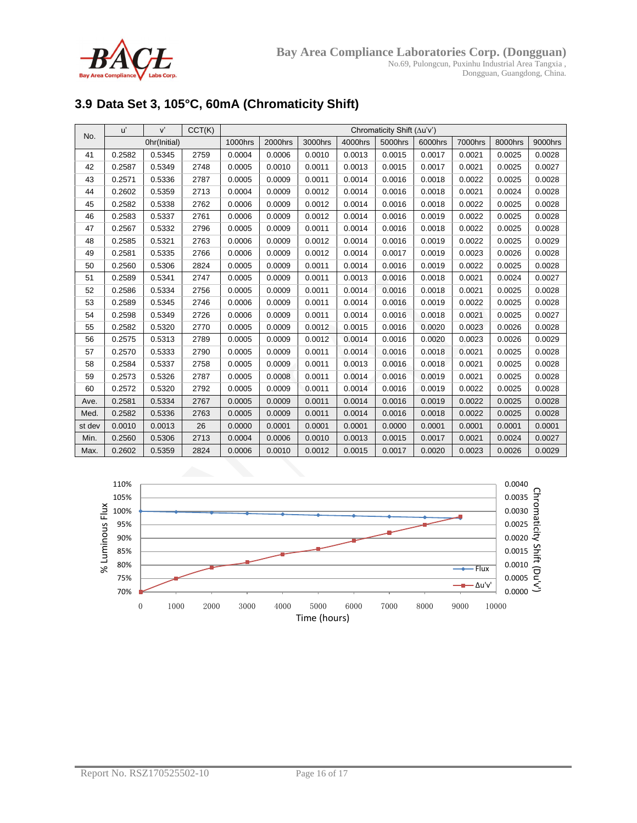

# **3.9 Data Set 3, 105°C, 60mA (Chromaticity Shift)**

| No.    | u'     | V'           | CCT(K) | Chromaticity Shift (Au'v') |         |         |         |         |         |         |         |         |
|--------|--------|--------------|--------|----------------------------|---------|---------|---------|---------|---------|---------|---------|---------|
|        |        | Ohr(Initial) |        | 1000hrs                    | 2000hrs | 3000hrs | 4000hrs | 5000hrs | 6000hrs | 7000hrs | 8000hrs | 9000hrs |
| 41     | 0.2582 | 0.5345       | 2759   | 0.0004                     | 0.0006  | 0.0010  | 0.0013  | 0.0015  | 0.0017  | 0.0021  | 0.0025  | 0.0028  |
| 42     | 0.2587 | 0.5349       | 2748   | 0.0005                     | 0.0010  | 0.0011  | 0.0013  | 0.0015  | 0.0017  | 0.0021  | 0.0025  | 0.0027  |
| 43     | 0.2571 | 0.5336       | 2787   | 0.0005                     | 0.0009  | 0.0011  | 0.0014  | 0.0016  | 0.0018  | 0.0022  | 0.0025  | 0.0028  |
| 44     | 0.2602 | 0.5359       | 2713   | 0.0004                     | 0.0009  | 0.0012  | 0.0014  | 0.0016  | 0.0018  | 0.0021  | 0.0024  | 0.0028  |
| 45     | 0.2582 | 0.5338       | 2762   | 0.0006                     | 0.0009  | 0.0012  | 0.0014  | 0.0016  | 0.0018  | 0.0022  | 0.0025  | 0.0028  |
| 46     | 0.2583 | 0.5337       | 2761   | 0.0006                     | 0.0009  | 0.0012  | 0.0014  | 0.0016  | 0.0019  | 0.0022  | 0.0025  | 0.0028  |
| 47     | 0.2567 | 0.5332       | 2796   | 0.0005                     | 0.0009  | 0.0011  | 0.0014  | 0.0016  | 0.0018  | 0.0022  | 0.0025  | 0.0028  |
| 48     | 0.2585 | 0.5321       | 2763   | 0.0006                     | 0.0009  | 0.0012  | 0.0014  | 0.0016  | 0.0019  | 0.0022  | 0.0025  | 0.0029  |
| 49     | 0.2581 | 0.5335       | 2766   | 0.0006                     | 0.0009  | 0.0012  | 0.0014  | 0.0017  | 0.0019  | 0.0023  | 0.0026  | 0.0028  |
| 50     | 0.2560 | 0.5306       | 2824   | 0.0005                     | 0.0009  | 0.0011  | 0.0014  | 0.0016  | 0.0019  | 0.0022  | 0.0025  | 0.0028  |
| 51     | 0.2589 | 0.5341       | 2747   | 0.0005                     | 0.0009  | 0.0011  | 0.0013  | 0.0016  | 0.0018  | 0.0021  | 0.0024  | 0.0027  |
| 52     | 0.2586 | 0.5334       | 2756   | 0.0005                     | 0.0009  | 0.0011  | 0.0014  | 0.0016  | 0.0018  | 0.0021  | 0.0025  | 0.0028  |
| 53     | 0.2589 | 0.5345       | 2746   | 0.0006                     | 0.0009  | 0.0011  | 0.0014  | 0.0016  | 0.0019  | 0.0022  | 0.0025  | 0.0028  |
| 54     | 0.2598 | 0.5349       | 2726   | 0.0006                     | 0.0009  | 0.0011  | 0.0014  | 0.0016  | 0.0018  | 0.0021  | 0.0025  | 0.0027  |
| 55     | 0.2582 | 0.5320       | 2770   | 0.0005                     | 0.0009  | 0.0012  | 0.0015  | 0.0016  | 0.0020  | 0.0023  | 0.0026  | 0.0028  |
| 56     | 0.2575 | 0.5313       | 2789   | 0.0005                     | 0.0009  | 0.0012  | 0.0014  | 0.0016  | 0.0020  | 0.0023  | 0.0026  | 0.0029  |
| 57     | 0.2570 | 0.5333       | 2790   | 0.0005                     | 0.0009  | 0.0011  | 0.0014  | 0.0016  | 0.0018  | 0.0021  | 0.0025  | 0.0028  |
| 58     | 0.2584 | 0.5337       | 2758   | 0.0005                     | 0.0009  | 0.0011  | 0.0013  | 0.0016  | 0.0018  | 0.0021  | 0.0025  | 0.0028  |
| 59     | 0.2573 | 0.5326       | 2787   | 0.0005                     | 0.0008  | 0.0011  | 0.0014  | 0.0016  | 0.0019  | 0.0021  | 0.0025  | 0.0028  |
| 60     | 0.2572 | 0.5320       | 2792   | 0.0005                     | 0.0009  | 0.0011  | 0.0014  | 0.0016  | 0.0019  | 0.0022  | 0.0025  | 0.0028  |
| Ave.   | 0.2581 | 0.5334       | 2767   | 0.0005                     | 0.0009  | 0.0011  | 0.0014  | 0.0016  | 0.0019  | 0.0022  | 0.0025  | 0.0028  |
| Med.   | 0.2582 | 0.5336       | 2763   | 0.0005                     | 0.0009  | 0.0011  | 0.0014  | 0.0016  | 0.0018  | 0.0022  | 0.0025  | 0.0028  |
| st dev | 0.0010 | 0.0013       | 26     | 0.0000                     | 0.0001  | 0.0001  | 0.0001  | 0.0000  | 0.0001  | 0.0001  | 0.0001  | 0.0001  |
| Min.   | 0.2560 | 0.5306       | 2713   | 0.0004                     | 0.0006  | 0.0010  | 0.0013  | 0.0015  | 0.0017  | 0.0021  | 0.0024  | 0.0027  |
| Max.   | 0.2602 | 0.5359       | 2824   | 0.0006                     | 0.0010  | 0.0012  | 0.0015  | 0.0017  | 0.0020  | 0.0023  | 0.0026  | 0.0029  |